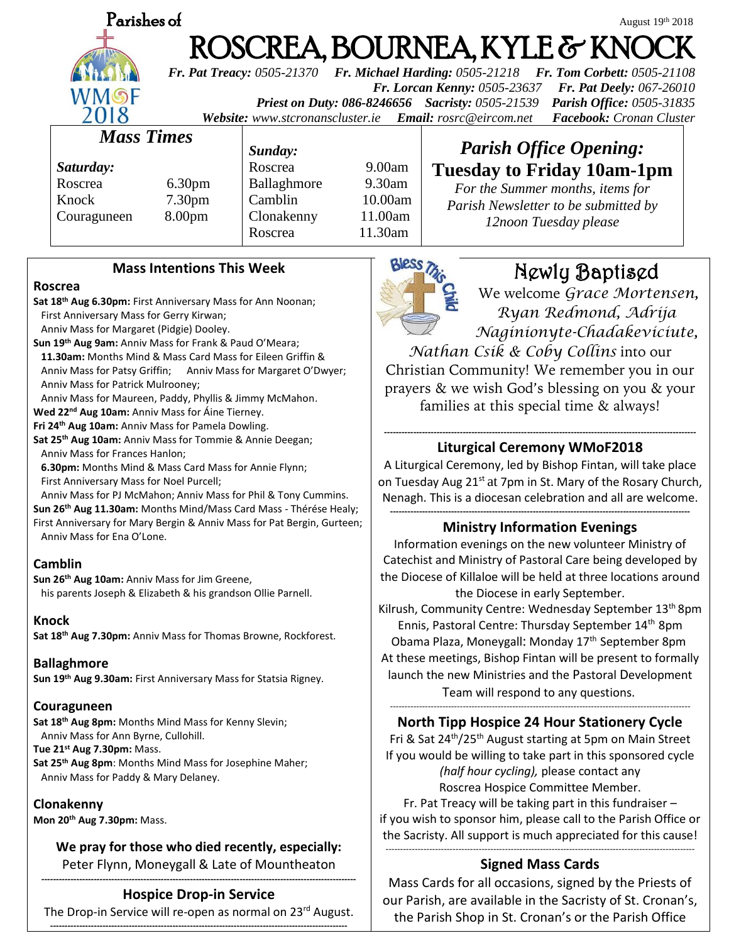| Parish |
|--------|
|        |
|        |
|        |
|        |

# **Parishes of**  $\omega$  August 19 August 19th 2018 ROSCREA, BOURNEA, KYLE & KNO

*Fr. Pat Treacy: 0505-21370 Fr. Michael Harding: 0505-21218 Fr. Tom Corbett: 0505-21108 Fr. Lorcan Kenny: 0505-23637 Fr. Pat Deely: 067-26010 Priest on Duty: 086-8246656 Sacristy: 0505-21539 Parish Office: 0505-31835 Website: [www.stcronanscluster.ie](http://www.stcronanscluster.ie/) Email: [rosrc@eircom.net](mailto:rosrc@eircom.net) Facebook: Cronan Cluster* 

# *Mass Times*

*Saturday:* Roscrea 6.30pm Knock 7.30pm Couraguneen 8.00pm

*Sunday:*

Roscrea 9.00am Ballaghmore 9.30am Camblin 10.00am Clonakenny 11.00am Roscrea 11.30am

# *Parish Office Opening:* **Tuesday to Friday 10am-1pm**

*For the Summer months, items for Parish Newsletter to be submitted by 12noon Tuesday please*

# **Mass Intentions This Week**

### **Roscrea**

**Sat 18th Aug 6.30pm:** First Anniversary Mass for Ann Noonan; First Anniversary Mass for Gerry Kirwan;

Anniv Mass for Margaret (Pidgie) Dooley.

**Sun 19th Aug 9am:** Anniv Mass for Frank & Paud O'Meara;

 **11.30am:** Months Mind & Mass Card Mass for Eileen Griffin & Anniv Mass for Patsy Griffin; Anniv Mass for Margaret O'Dwyer; Anniv Mass for Patrick Mulrooney;

Anniv Mass for Maureen, Paddy, Phyllis & Jimmy McMahon.

**Wed 22nd Aug 10am:** Anniv Mass for Áine Tierney.

**Fri 24th Aug 10am:** Anniv Mass for Pamela Dowling.

**Sat 25th Aug 10am:** Anniv Mass for Tommie & Annie Deegan; Anniv Mass for Frances Hanlon;

 **6.30pm:** Months Mind & Mass Card Mass for Annie Flynn; First Anniversary Mass for Noel Purcell;

Anniv Mass for PJ McMahon; Anniv Mass for Phil & Tony Cummins.

**Sun 26th Aug 11.30am:** Months Mind/Mass Card Mass - Thérése Healy; First Anniversary for Mary Bergin & Anniv Mass for Pat Bergin, Gurteen; Anniv Mass for Ena O'Lone.

### **Camblin**

**Sun 26th Aug 10am:** Anniv Mass for Jim Greene, his parents Joseph & Elizabeth & his grandson Ollie Parnell.

### **Knock**

**Sat 18th Aug 7.30pm:** Anniv Mass for Thomas Browne, Rockforest.

### **Ballaghmore**

**Sun 19th Aug 9.30am:** First Anniversary Mass for Statsia Rigney.

### **Couraguneen**

**Sat 18th Aug 8pm:** Months Mind Mass for Kenny Slevin; Anniv Mass for Ann Byrne, Cullohill.

**Tue 21st Aug 7.30pm:** Mass.

**Sat 25th Aug 8pm**: Months Mind Mass for Josephine Maher; Anniv Mass for Paddy & Mary Delaney.

### **Clonakenny**

**Mon 20th Aug 7.30pm:** Mass.

**We pray for those who died recently, especially:** Peter Flynn, Moneygall & Late of Mountheaton

#### **------------------------------------------------------------------------------------------------------------ Hospice Drop-in Service**

The Drop-in Service will re-open as normal on 23<sup>rd</sup> August. **------------------------------------------------------------------------------------------------------**



# Newly Baptised

We welcome *Grace Mortensen, Ryan Redmond, Adrija Naginionyte-Chadakeviciute,* 

*Nathan Csik & Coby Collins* into our Christian Community! We remember you in our prayers & we wish God's blessing on you & your families at this special time & always!

#### **----------------------------------------------------------------------------------------------------------- Liturgical Ceremony WMoF2018**

A Liturgical Ceremony, led by Bishop Fintan, will take place on Tuesday Aug 21<sup>st</sup> at 7pm in St. Mary of the Rosary Church, Nenagh. This is a diocesan celebration and all are welcome.

#### **------------------------------------------------------------------------------------------------------- Ministry Information Evenings**

Information evenings on the new volunteer Ministry of Catechist and Ministry of Pastoral Care being developed by the Diocese of Killaloe will be held at three locations around the Diocese in early September. Kilrush, Community Centre: Wednesday September 13<sup>th</sup> 8pm Ennis, Pastoral Centre: Thursday September 14<sup>th</sup> 8pm Obama Plaza, Moneygall: Monday 17<sup>th</sup> September 8pm At these meetings, Bishop Fintan will be present to formally launch the new Ministries and the Pastoral Development

Team will respond to any questions. -------------------------------------------------------------------------------------------------------

# **North Tipp Hospice 24 Hour Stationery Cycle**

Fri & Sat 24<sup>th</sup>/25<sup>th</sup> August starting at 5pm on Main Street If you would be willing to take part in this sponsored cycle *(half hour cycling),* please contact any Roscrea Hospice Committee Member.

Fr. Pat Treacy will be taking part in this fundraiser – if you wish to sponsor him, please call to the Parish Office or the Sacristy. All support is much appreciated for this cause! ----------------------------------------------------------------------------------------------------------

# **Signed Mass Cards**

Mass Cards for all occasions, signed by the Priests of our Parish, are available in the Sacristy of St. Cronan's, the Parish Shop in St. Cronan's or the Parish Office